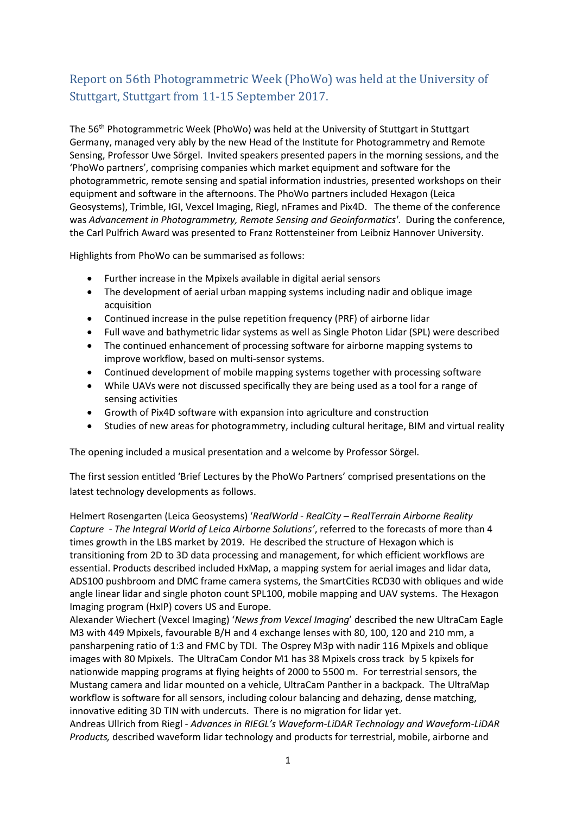# Report on 56th Photogrammetric Week (PhoWo) was held at the University of Stuttgart, Stuttgart from 11-15 September 2017.

The 56th Photogrammetric Week (PhoWo) was held at the University of Stuttgart in Stuttgart Germany, managed very ably by the new Head of the Institute for Photogrammetry and Remote Sensing, Professor Uwe Sörgel. Invited speakers presented papers in the morning sessions, and the 'PhoWo partners', comprising companies which market equipment and software for the photogrammetric, remote sensing and spatial information industries, presented workshops on their equipment and software in the afternoons. The PhoWo partners included Hexagon (Leica Geosystems), Trimble, IGI, Vexcel Imaging, Riegl, nFrames and Pix4D. The theme of the conference was *Advancement in Photogrammetry, Remote Sensing and Geoinformatics'*. During the conference, the Carl Pulfrich Award was presented to Franz Rottensteiner from Leibniz Hannover University.

Highlights from PhoWo can be summarised as follows:

- Further increase in the Mpixels available in digital aerial sensors
- The development of aerial urban mapping systems including nadir and oblique image acquisition
- Continued increase in the pulse repetition frequency (PRF) of airborne lidar
- Full wave and bathymetric lidar systems as well as Single Photon Lidar (SPL) were described
- The continued enhancement of processing software for airborne mapping systems to improve workflow, based on multi-sensor systems.
- Continued development of mobile mapping systems together with processing software
- While UAVs were not discussed specifically they are being used as a tool for a range of sensing activities
- Growth of Pix4D software with expansion into agriculture and construction
- Studies of new areas for photogrammetry, including cultural heritage, BIM and virtual reality

The opening included a musical presentation and a welcome by Professor Sörgel.

The first session entitled 'Brief Lectures by the PhoWo Partners' comprised presentations on the latest technology developments as follows.

Helmert Rosengarten (Leica Geosystems) '*RealWorld - RealCity – RealTerrain Airborne Reality Capture - The Integral World of Leica Airborne Solutions'*, referred to the forecasts of more than 4 times growth in the LBS market by 2019. He described the structure of Hexagon which is transitioning from 2D to 3D data processing and management, for which efficient workflows are essential. Products described included HxMap, a mapping system for aerial images and lidar data, ADS100 pushbroom and DMC frame camera systems, the SmartCities RCD30 with obliques and wide angle linear lidar and single photon count SPL100, mobile mapping and UAV systems. The Hexagon Imaging program (HxIP) covers US and Europe.

Alexander Wiechert (Vexcel Imaging) '*News from Vexcel Imaging*' described the new UltraCam Eagle M3 with 449 Mpixels, favourable B/H and 4 exchange lenses with 80, 100, 120 and 210 mm, a pansharpening ratio of 1:3 and FMC by TDI. The Osprey M3p with nadir 116 Mpixels and oblique images with 80 Mpixels. The UltraCam Condor M1 has 38 Mpixels cross track by 5 kpixels for nationwide mapping programs at flying heights of 2000 to 5500 m. For terrestrial sensors, the Mustang camera and lidar mounted on a vehicle, UltraCam Panther in a backpack. The UltraMap workflow is software for all sensors, including colour balancing and dehazing, dense matching, innovative editing 3D TIN with undercuts. There is no migration for lidar yet.

Andreas Ullrich from Riegl *- Advances in RIEGL's Waveform-LiDAR Technology and Waveform-LiDAR Products,* described waveform lidar technology and products for terrestrial, mobile, airborne and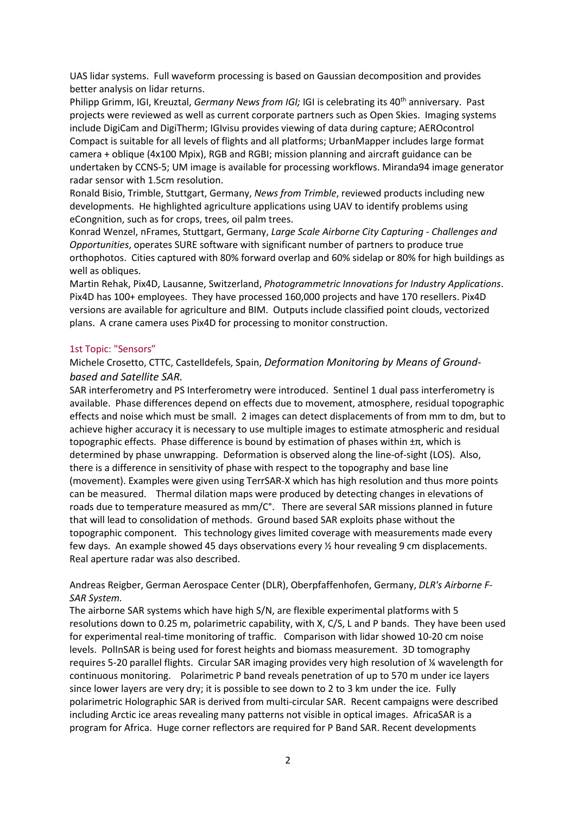UAS lidar systems. Full waveform processing is based on Gaussian decomposition and provides better analysis on lidar returns.

Philipp Grimm, IGI, Kreuztal, *Germany News from IGI;* IGI is celebrating its 40<sup>th</sup> anniversary. Past projects were reviewed as well as current corporate partners such as Open Skies. Imaging systems include DigiCam and DigiTherm; IGIvisu provides viewing of data during capture; AEROcontrol Compact is suitable for all levels of flights and all platforms; UrbanMapper includes large format camera + oblique (4x100 Mpix), RGB and RGBI; mission planning and aircraft guidance can be undertaken by CCNS-5; UM image is available for processing workflows. Miranda94 image generator radar sensor with 1.5cm resolution.

Ronald Bisio, Trimble, Stuttgart, Germany, *News from Trimble*, reviewed products including new developments. He highlighted agriculture applications using UAV to identify problems using eCongnition, such as for crops, trees, oil palm trees.

Konrad Wenzel, nFrames, Stuttgart, Germany, *Large Scale Airborne City Capturing - Challenges and Opportunities*, operates SURE software with significant number of partners to produce true orthophotos. Cities captured with 80% forward overlap and 60% sidelap or 80% for high buildings as well as obliques.

Martin Rehak, Pix4D, Lausanne, Switzerland, *Photogrammetric Innovations for Industry Applications*. Pix4D has 100+ employees. They have processed 160,000 projects and have 170 resellers. Pix4D versions are available for agriculture and BIM. Outputs include classified point clouds, vectorized plans. A crane camera uses Pix4D for processing to monitor construction.

#### 1st Topic: "Sensors"

### Michele Crosetto, CTTC, Castelldefels, Spain, *Deformation Monitoring by Means of Groundbased and Satellite SAR.*

SAR interferometry and PS Interferometry were introduced. Sentinel 1 dual pass interferometry is available. Phase differences depend on effects due to movement, atmosphere, residual topographic effects and noise which must be small. 2 images can detect displacements of from mm to dm, but to achieve higher accuracy it is necessary to use multiple images to estimate atmospheric and residual topographic effects. Phase difference is bound by estimation of phases within  $\pm \pi$ , which is determined by phase unwrapping. Deformation is observed along the line-of-sight (LOS). Also, there is a difference in sensitivity of phase with respect to the topography and base line (movement). Examples were given using TerrSAR-X which has high resolution and thus more points can be measured. Thermal dilation maps were produced by detecting changes in elevations of roads due to temperature measured as mm/C°. There are several SAR missions planned in future that will lead to consolidation of methods. Ground based SAR exploits phase without the topographic component. This technology gives limited coverage with measurements made every few days. An example showed 45 days observations every ½ hour revealing 9 cm displacements. Real aperture radar was also described.

### Andreas Reigber, German Aerospace Center (DLR), Oberpfaffenhofen, Germany, *DLR's Airborne F-SAR System.*

The airborne SAR systems which have high S/N, are flexible experimental platforms with 5 resolutions down to 0.25 m, polarimetric capability, with X, C/S, L and P bands. They have been used for experimental real-time monitoring of traffic. Comparison with lidar showed 10-20 cm noise levels. PolInSAR is being used for forest heights and biomass measurement. 3D tomography requires 5-20 parallel flights. Circular SAR imaging provides very high resolution of ¼ wavelength for continuous monitoring. Polarimetric P band reveals penetration of up to 570 m under ice layers since lower layers are very dry; it is possible to see down to 2 to 3 km under the ice. Fully polarimetric Holographic SAR is derived from multi-circular SAR. Recent campaigns were described including Arctic ice areas revealing many patterns not visible in optical images. AfricaSAR is a program for Africa. Huge corner reflectors are required for P Band SAR. Recent developments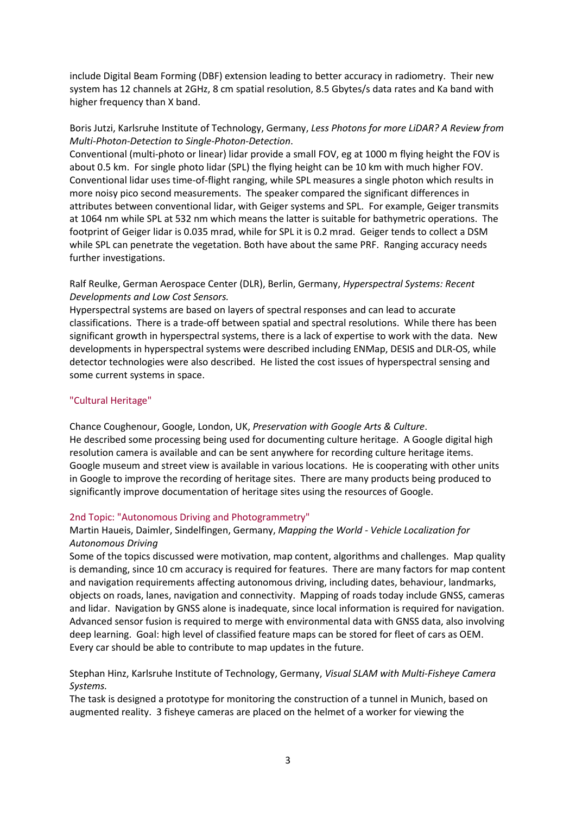include Digital Beam Forming (DBF) extension leading to better accuracy in radiometry. Their new system has 12 channels at 2GHz, 8 cm spatial resolution, 8.5 Gbytes/s data rates and Ka band with higher frequency than X band.

# Boris Jutzi, Karlsruhe Institute of Technology, Germany, *Less Photons for more LiDAR? A Review from Multi-Photon-Detection to Single-Photon-Detection*.

Conventional (multi-photo or linear) lidar provide a small FOV, eg at 1000 m flying height the FOV is about 0.5 km. For single photo lidar (SPL) the flying height can be 10 km with much higher FOV. Conventional lidar uses time-of-flight ranging, while SPL measures a single photon which results in more noisy pico second measurements. The speaker compared the significant differences in attributes between conventional lidar, with Geiger systems and SPL. For example, Geiger transmits at 1064 nm while SPL at 532 nm which means the latter is suitable for bathymetric operations. The footprint of Geiger lidar is 0.035 mrad, while for SPL it is 0.2 mrad. Geiger tends to collect a DSM while SPL can penetrate the vegetation. Both have about the same PRF. Ranging accuracy needs further investigations.

# Ralf Reulke, German Aerospace Center (DLR), Berlin, Germany, *Hyperspectral Systems: Recent Developments and Low Cost Sensors.*

Hyperspectral systems are based on layers of spectral responses and can lead to accurate classifications. There is a trade-off between spatial and spectral resolutions. While there has been significant growth in hyperspectral systems, there is a lack of expertise to work with the data. New developments in hyperspectral systems were described including ENMap, DESIS and DLR-OS, while detector technologies were also described. He listed the cost issues of hyperspectral sensing and some current systems in space.

# "Cultural Heritage"

Chance Coughenour, Google, London, UK, *Preservation with Google Arts & Culture*. He described some processing being used for documenting culture heritage. A Google digital high resolution camera is available and can be sent anywhere for recording culture heritage items. Google museum and street view is available in various locations. He is cooperating with other units in Google to improve the recording of heritage sites. There are many products being produced to significantly improve documentation of heritage sites using the resources of Google.

# 2nd Topic: "Autonomous Driving and Photogrammetry"

### Martin Haueis, Daimler, Sindelfingen, Germany, *Mapping the World - Vehicle Localization for Autonomous Driving*

Some of the topics discussed were motivation, map content, algorithms and challenges. Map quality is demanding, since 10 cm accuracy is required for features. There are many factors for map content and navigation requirements affecting autonomous driving, including dates, behaviour, landmarks, objects on roads, lanes, navigation and connectivity. Mapping of roads today include GNSS, cameras and lidar. Navigation by GNSS alone is inadequate, since local information is required for navigation. Advanced sensor fusion is required to merge with environmental data with GNSS data, also involving deep learning. Goal: high level of classified feature maps can be stored for fleet of cars as OEM. Every car should be able to contribute to map updates in the future.

Stephan Hinz, Karlsruhe Institute of Technology, Germany, *Visual SLAM with Multi-Fisheye Camera Systems.*

The task is designed a prototype for monitoring the construction of a tunnel in Munich, based on augmented reality. 3 fisheye cameras are placed on the helmet of a worker for viewing the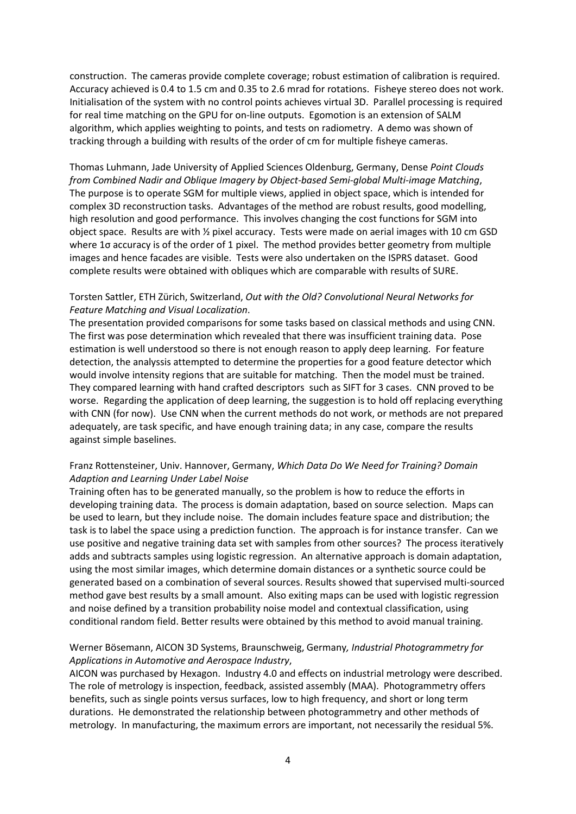construction. The cameras provide complete coverage; robust estimation of calibration is required. Accuracy achieved is 0.4 to 1.5 cm and 0.35 to 2.6 mrad for rotations. Fisheye stereo does not work. Initialisation of the system with no control points achieves virtual 3D. Parallel processing is required for real time matching on the GPU for on-line outputs. Egomotion is an extension of SALM algorithm, which applies weighting to points, and tests on radiometry. A demo was shown of tracking through a building with results of the order of cm for multiple fisheye cameras.

Thomas Luhmann, Jade University of Applied Sciences Oldenburg, Germany, Dense *Point Clouds from Combined Nadir and Oblique Imagery by Object-based Semi-global Multi-image Matching*, The purpose is to operate SGM for multiple views, applied in object space, which is intended for complex 3D reconstruction tasks. Advantages of the method are robust results, good modelling, high resolution and good performance. This involves changing the cost functions for SGM into object space. Results are with ½ pixel accuracy. Tests were made on aerial images with 10 cm GSD where 1σ accuracy is of the order of 1 pixel. The method provides better geometry from multiple images and hence facades are visible. Tests were also undertaken on the ISPRS dataset. Good complete results were obtained with obliques which are comparable with results of SURE.

## Torsten Sattler, ETH Zürich, Switzerland, *Out with the Old? Convolutional Neural Networks for Feature Matching and Visual Localization*.

The presentation provided comparisons for some tasks based on classical methods and using CNN. The first was pose determination which revealed that there was insufficient training data. Pose estimation is well understood so there is not enough reason to apply deep learning. For feature detection, the analyssis attempted to determine the properties for a good feature detector which would involve intensity regions that are suitable for matching. Then the model must be trained. They compared learning with hand crafted descriptors such as SIFT for 3 cases. CNN proved to be worse. Regarding the application of deep learning, the suggestion is to hold off replacing everything with CNN (for now). Use CNN when the current methods do not work, or methods are not prepared adequately, are task specific, and have enough training data; in any case, compare the results against simple baselines.

# Franz Rottensteiner, Univ. Hannover, Germany, *Which Data Do We Need for Training? Domain Adaption and Learning Under Label Noise*

Training often has to be generated manually, so the problem is how to reduce the efforts in developing training data. The process is domain adaptation, based on source selection. Maps can be used to learn, but they include noise. The domain includes feature space and distribution; the task is to label the space using a prediction function. The approach is for instance transfer. Can we use positive and negative training data set with samples from other sources? The process iteratively adds and subtracts samples using logistic regression. An alternative approach is domain adaptation, using the most similar images, which determine domain distances or a synthetic source could be generated based on a combination of several sources. Results showed that supervised multi-sourced method gave best results by a small amount. Also exiting maps can be used with logistic regression and noise defined by a transition probability noise model and contextual classification, using conditional random field. Better results were obtained by this method to avoid manual training.

### Werner Bösemann, AICON 3D Systems, Braunschweig, Germany*, Industrial Photogrammetry for Applications in Automotive and Aerospace Industry*,

AICON was purchased by Hexagon. Industry 4.0 and effects on industrial metrology were described. The role of metrology is inspection, feedback, assisted assembly (MAA). Photogrammetry offers benefits, such as single points versus surfaces, low to high frequency, and short or long term durations. He demonstrated the relationship between photogrammetry and other methods of metrology. In manufacturing, the maximum errors are important, not necessarily the residual 5%.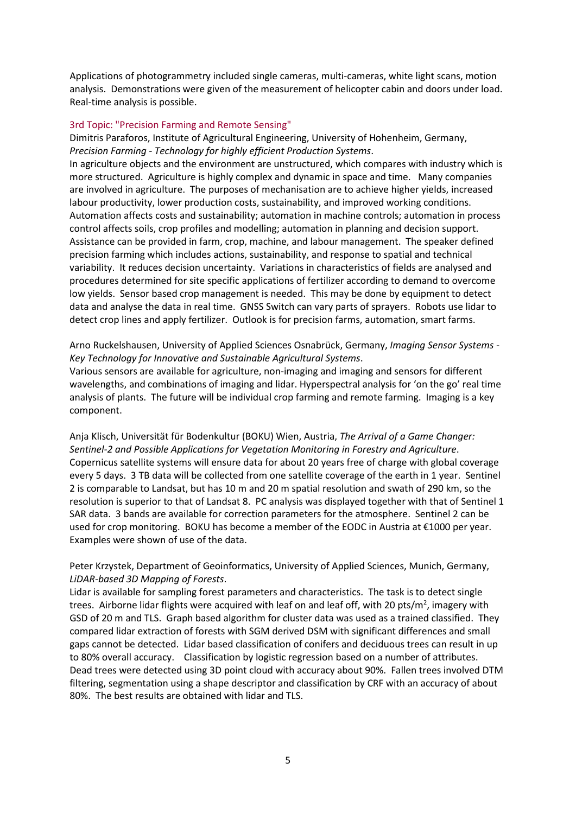Applications of photogrammetry included single cameras, multi-cameras, white light scans, motion analysis. Demonstrations were given of the measurement of helicopter cabin and doors under load. Real-time analysis is possible.

#### 3rd Topic: "Precision Farming and Remote Sensing"

Dimitris Paraforos, Institute of Agricultural Engineering, University of Hohenheim, Germany, *Precision Farming - Technology for highly efficient Production Systems*. In agriculture objects and the environment are unstructured, which compares with industry which is more structured. Agriculture is highly complex and dynamic in space and time. Many companies are involved in agriculture. The purposes of mechanisation are to achieve higher yields, increased labour productivity, lower production costs, sustainability, and improved working conditions. Automation affects costs and sustainability; automation in machine controls; automation in process control affects soils, crop profiles and modelling; automation in planning and decision support. Assistance can be provided in farm, crop, machine, and labour management. The speaker defined precision farming which includes actions, sustainability, and response to spatial and technical variability. It reduces decision uncertainty. Variations in characteristics of fields are analysed and procedures determined for site specific applications of fertilizer according to demand to overcome low yields. Sensor based crop management is needed. This may be done by equipment to detect data and analyse the data in real time. GNSS Switch can vary parts of sprayers. Robots use lidar to detect crop lines and apply fertilizer. Outlook is for precision farms, automation, smart farms.

Arno Ruckelshausen, University of Applied Sciences Osnabrück, Germany, *Imaging Sensor Systems - Key Technology for Innovative and Sustainable Agricultural Systems*.

Various sensors are available for agriculture, non-imaging and imaging and sensors for different wavelengths, and combinations of imaging and lidar. Hyperspectral analysis for 'on the go' real time analysis of plants. The future will be individual crop farming and remote farming. Imaging is a key component.

Anja Klisch, Universität für Bodenkultur (BOKU) Wien, Austria, *The Arrival of a Game Changer: Sentinel-2 and Possible Applications for Vegetation Monitoring in Forestry and Agriculture*. Copernicus satellite systems will ensure data for about 20 years free of charge with global coverage every 5 days. 3 TB data will be collected from one satellite coverage of the earth in 1 year. Sentinel 2 is comparable to Landsat, but has 10 m and 20 m spatial resolution and swath of 290 km, so the resolution is superior to that of Landsat 8. PC analysis was displayed together with that of Sentinel 1 SAR data. 3 bands are available for correction parameters for the atmosphere. Sentinel 2 can be used for crop monitoring. BOKU has become a member of the EODC in Austria at €1000 per year. Examples were shown of use of the data.

Peter Krzystek, Department of Geoinformatics, University of Applied Sciences, Munich, Germany, *LiDAR-based 3D Mapping of Forests*.

Lidar is available for sampling forest parameters and characteristics. The task is to detect single trees. Airborne lidar flights were acquired with leaf on and leaf off, with 20 pts/m<sup>2</sup>, imagery with GSD of 20 m and TLS. Graph based algorithm for cluster data was used as a trained classified. They compared lidar extraction of forests with SGM derived DSM with significant differences and small gaps cannot be detected. Lidar based classification of conifers and deciduous trees can result in up to 80% overall accuracy. Classification by logistic regression based on a number of attributes. Dead trees were detected using 3D point cloud with accuracy about 90%. Fallen trees involved DTM filtering, segmentation using a shape descriptor and classification by CRF with an accuracy of about 80%. The best results are obtained with lidar and TLS.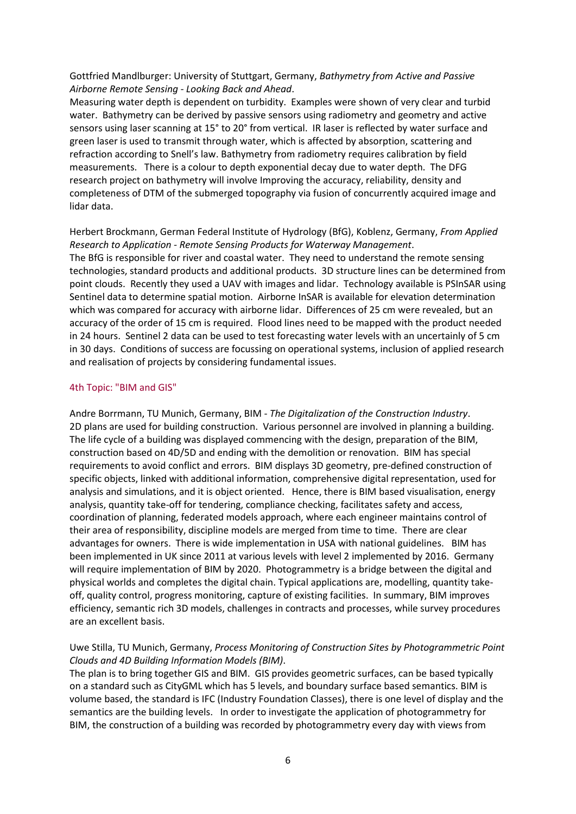Gottfried Mandlburger: University of Stuttgart, Germany, *Bathymetry from Active and Passive Airborne Remote Sensing - Looking Back and Ahead*.

Measuring water depth is dependent on turbidity. Examples were shown of very clear and turbid water. Bathymetry can be derived by passive sensors using radiometry and geometry and active sensors using laser scanning at 15° to 20° from vertical. IR laser is reflected by water surface and green laser is used to transmit through water, which is affected by absorption, scattering and refraction according to Snell's law. Bathymetry from radiometry requires calibration by field measurements. There is a colour to depth exponential decay due to water depth. The DFG research project on bathymetry will involve Improving the accuracy, reliability, density and completeness of DTM of the submerged topography via fusion of concurrently acquired image and lidar data.

Herbert Brockmann, German Federal Institute of Hydrology (BfG), Koblenz, Germany, *From Applied Research to Application - Remote Sensing Products for Waterway Management*. The BfG is responsible for river and coastal water. They need to understand the remote sensing technologies, standard products and additional products. 3D structure lines can be determined from point clouds. Recently they used a UAV with images and lidar. Technology available is PSInSAR using Sentinel data to determine spatial motion. Airborne InSAR is available for elevation determination which was compared for accuracy with airborne lidar. Differences of 25 cm were revealed, but an accuracy of the order of 15 cm is required. Flood lines need to be mapped with the product needed in 24 hours. Sentinel 2 data can be used to test forecasting water levels with an uncertainly of 5 cm in 30 days. Conditions of success are focussing on operational systems, inclusion of applied research and realisation of projects by considering fundamental issues.

#### 4th Topic: "BIM and GIS"

Andre Borrmann, TU Munich, Germany, BIM - *The Digitalization of the Construction Industry*. 2D plans are used for building construction. Various personnel are involved in planning a building. The life cycle of a building was displayed commencing with the design, preparation of the BIM, construction based on 4D/5D and ending with the demolition or renovation. BIM has special requirements to avoid conflict and errors. BIM displays 3D geometry, pre-defined construction of specific objects, linked with additional information, comprehensive digital representation, used for analysis and simulations, and it is object oriented. Hence, there is BIM based visualisation, energy analysis, quantity take-off for tendering, compliance checking, facilitates safety and access, coordination of planning, federated models approach, where each engineer maintains control of their area of responsibility, discipline models are merged from time to time. There are clear advantages for owners. There is wide implementation in USA with national guidelines. BIM has been implemented in UK since 2011 at various levels with level 2 implemented by 2016. Germany will require implementation of BIM by 2020. Photogrammetry is a bridge between the digital and physical worlds and completes the digital chain. Typical applications are, modelling, quantity takeoff, quality control, progress monitoring, capture of existing facilities. In summary, BIM improves efficiency, semantic rich 3D models, challenges in contracts and processes, while survey procedures are an excellent basis.

### Uwe Stilla, TU Munich, Germany, *Process Monitoring of Construction Sites by Photogrammetric Point Clouds and 4D Building Information Models (BIM)*.

The plan is to bring together GIS and BIM. GIS provides geometric surfaces, can be based typically on a standard such as CityGML which has 5 levels, and boundary surface based semantics. BIM is volume based, the standard is IFC (Industry Foundation Classes), there is one level of display and the semantics are the building levels. In order to investigate the application of photogrammetry for BIM, the construction of a building was recorded by photogrammetry every day with views from